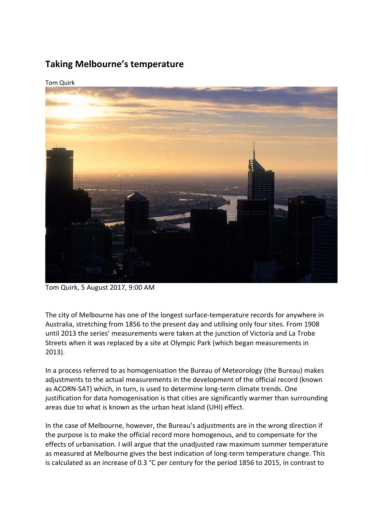## **Taking Melbourne's temperature**



Tom Quirk

Tom Quirk, 5 August 2017, 9:00 AM

The city of Melbourne has one of the longest surface-temperature records for anywhere in Australia, stretching from 1856 to the present day and utilising only four sites. From 1908 until 2013 the series' measurements were taken at the junction of Victoria and La Trobe Streets when it was replaced by a site at Olympic Park (which began measurements in 2013).

In a process referred to as homogenisation the Bureau of Meteorology (the Bureau) makes adjustments to the actual measurements in the development of the official record (known as ACORN-SAT) which, in turn, is used to determine long-term climate trends. One justification for data homogenisation is that cities are significantly warmer than surrounding areas due to what is known as the urban heat island (UHI) effect.

In the case of Melbourne, however, the Bureau's adjustments are in the wrong direction if the purpose is to make the official record more homogenous, and to compensate for the effects of urbanisation. I will argue that the unadjusted raw maximum summer temperature as measured at Melbourne gives the best indication of long-term temperature change. This is calculated as an increase of 0.3 °C per century for the period 1856 to 2015, in contrast to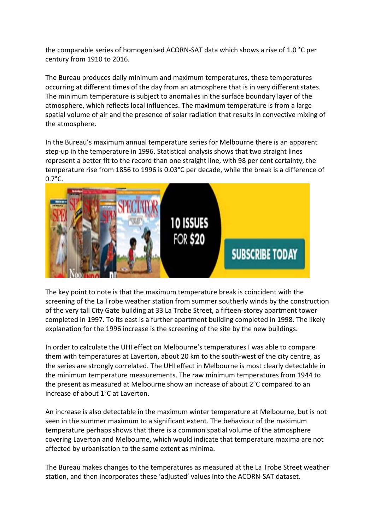the comparable series of homogenised ACORN-SAT data which shows a rise of 1.0 °C per century from 1910 to 2016.

The Bureau produces daily minimum and maximum temperatures, these temperatures occurring at different times of the day from an atmosphere that is in very different states. The minimum temperature is subject to anomalies in the surface boundary layer of the atmosphere, which reflects local influences. The maximum temperature is from a large spatial volume of air and the presence of solar radiation that results in convective mixing of the atmosphere.

In the Bureau's maximum annual temperature series for Melbourne there is an apparent step-up in the temperature in 1996. Statistical analysis shows that two straight lines represent a better fit to the record than one straight line, with 98 per cent certainty, the temperature rise from 1856 to 1996 is 0.03°C per decade, while the break is a difference of 0.7°C.



The key point to note is that the maximum temperature break is coincident with the screening of the La Trobe weather station from summer southerly winds by the construction of the very tall City Gate building at 33 La Trobe Street, a fifteen-storey apartment tower completed in 1997. To its east is a further apartment building completed in 1998. The likely explanation for the 1996 increase is the screening of the site by the new buildings.

In order to calculate the UHI effect on Melbourne's temperatures I was able to compare them with temperatures at Laverton, about 20 km to the south-west of the city centre, as the series are strongly correlated. The UHI effect in Melbourne is most clearly detectable in the minimum temperature measurements. The raw minimum temperatures from 1944 to the present as measured at Melbourne show an increase of about 2°C compared to an increase of about 1°C at Laverton.

An increase is also detectable in the maximum winter temperature at Melbourne, but is not seen in the summer maximum to a significant extent. The behaviour of the maximum temperature perhaps shows that there is a common spatial volume of the atmosphere covering Laverton and Melbourne, which would indicate that temperature maxima are not affected by urbanisation to the same extent as minima.

The Bureau makes changes to the temperatures as measured at the La Trobe Street weather station, and then incorporates these 'adjusted' values into the ACORN-SAT dataset.